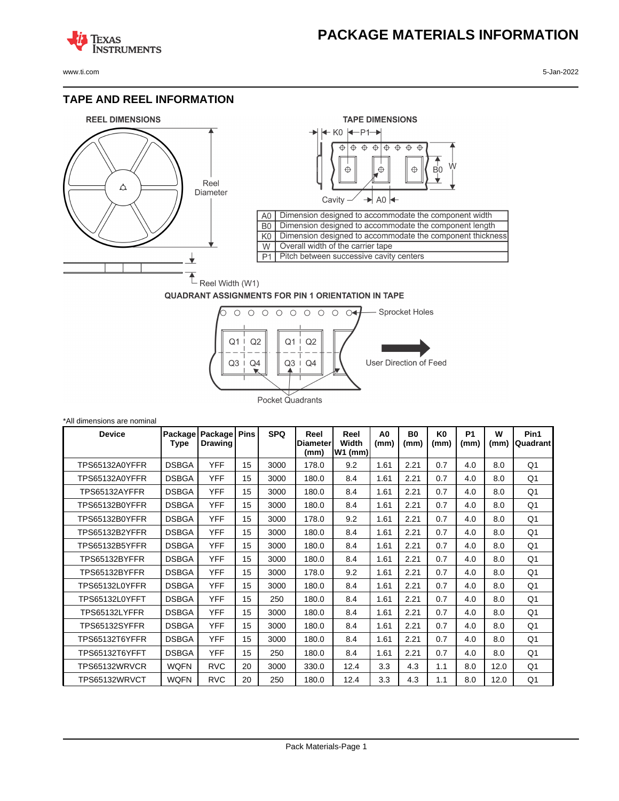## **PACKAGE MATERIALS INFORMATION**

**TEXAS NSTRUMENTS** 

www.ti.com 5-Jan-2022

#### **TAPE AND REEL INFORMATION**





## **QUADRANT ASSIGNMENTS FOR PIN 1 ORIENTATION IN TAPE**



| *All dimensions are nominal |              |                                   |             |            |                                 |                            |                        |                        |            |                   |           |                  |
|-----------------------------|--------------|-----------------------------------|-------------|------------|---------------------------------|----------------------------|------------------------|------------------------|------------|-------------------|-----------|------------------|
| <b>Device</b>               | Type         | Package Package<br><b>Drawing</b> | <b>Pins</b> | <b>SPQ</b> | Reel<br><b>Diameter</b><br>(mm) | Reel<br>Width<br>$W1$ (mm) | A <sub>0</sub><br>(mm) | B <sub>0</sub><br>(mm) | K0<br>(mm) | <b>P1</b><br>(mm) | W<br>(mm) | Pin1<br>Quadrant |
| TPS65132A0YFFR              | <b>DSBGA</b> | <b>YFF</b>                        | 15          | 3000       | 178.0                           | 9.2                        | 1.61                   | 2.21                   | 0.7        | 4.0               | 8.0       | Q1               |
| <b>TPS65132A0YFFR</b>       | <b>DSBGA</b> | <b>YFF</b>                        | 15          | 3000       | 180.0                           | 8.4                        | 1.61                   | 2.21                   | 0.7        | 4.0               | 8.0       | Q1               |
| TPS65132AYFFR               | <b>DSBGA</b> | <b>YFF</b>                        | 15          | 3000       | 180.0                           | 8.4                        | 1.61                   | 2.21                   | 0.7        | 4.0               | 8.0       | Q1               |
| <b>TPS65132B0YFFR</b>       | <b>DSBGA</b> | <b>YFF</b>                        | 15          | 3000       | 180.0                           | 8.4                        | 1.61                   | 2.21                   | 0.7        | 4.0               | 8.0       | Q1               |
| TPS65132B0YFFR              | <b>DSBGA</b> | <b>YFF</b>                        | 15          | 3000       | 178.0                           | 9.2                        | 1.61                   | 2.21                   | 0.7        | 4.0               | 8.0       | Q1               |
| TPS65132B2YFFR              | <b>DSBGA</b> | <b>YFF</b>                        | 15          | 3000       | 180.0                           | 8.4                        | 1.61                   | 2.21                   | 0.7        | 4.0               | 8.0       | Q <sub>1</sub>   |
| TPS65132B5YFFR              | <b>DSBGA</b> | <b>YFF</b>                        | 15          | 3000       | 180.0                           | 8.4                        | 1.61                   | 2.21                   | 0.7        | 4.0               | 8.0       | Q1               |
| TPS65132BYFFR               | <b>DSBGA</b> | <b>YFF</b>                        | 15          | 3000       | 180.0                           | 8.4                        | 1.61                   | 2.21                   | 0.7        | 4.0               | 8.0       | Q1               |
| TPS65132BYFFR               | <b>DSBGA</b> | <b>YFF</b>                        | 15          | 3000       | 178.0                           | 9.2                        | 1.61                   | 2.21                   | 0.7        | 4.0               | 8.0       | Q1               |
| TPS65132L0YFFR              | <b>DSBGA</b> | <b>YFF</b>                        | 15          | 3000       | 180.0                           | 8.4                        | 1.61                   | 2.21                   | 0.7        | 4.0               | 8.0       | Q1               |
| <b>TPS65132L0YFFT</b>       | <b>DSBGA</b> | <b>YFF</b>                        | 15          | 250        | 180.0                           | 8.4                        | 1.61                   | 2.21                   | 0.7        | 4.0               | 8.0       | Q1               |
| TPS65132LYFFR               | <b>DSBGA</b> | <b>YFF</b>                        | 15          | 3000       | 180.0                           | 8.4                        | 1.61                   | 2.21                   | 0.7        | 4.0               | 8.0       | Q1               |
| TPS65132SYFFR               | <b>DSBGA</b> | <b>YFF</b>                        | 15          | 3000       | 180.0                           | 8.4                        | 1.61                   | 2.21                   | 0.7        | 4.0               | 8.0       | Q1               |
| <b>TPS65132T6YFFR</b>       | <b>DSBGA</b> | <b>YFF</b>                        | 15          | 3000       | 180.0                           | 8.4                        | 1.61                   | 2.21                   | 0.7        | 4.0               | 8.0       | Q1               |
| TPS65132T6YFFT              | <b>DSBGA</b> | <b>YFF</b>                        | 15          | 250        | 180.0                           | 8.4                        | 1.61                   | 2.21                   | 0.7        | 4.0               | 8.0       | Q1               |
| TPS65132WRVCR               | <b>WQFN</b>  | <b>RVC</b>                        | 20          | 3000       | 330.0                           | 12.4                       | 3.3                    | 4.3                    | 1.1        | 8.0               | 12.0      | Q <sub>1</sub>   |
| TPS65132WRVCT               | <b>WQFN</b>  | <b>RVC</b>                        | 20          | 250        | 180.0                           | 12.4                       | 3.3                    | 4.3                    | 1.1        | 8.0               | 12.0      | Q <sub>1</sub>   |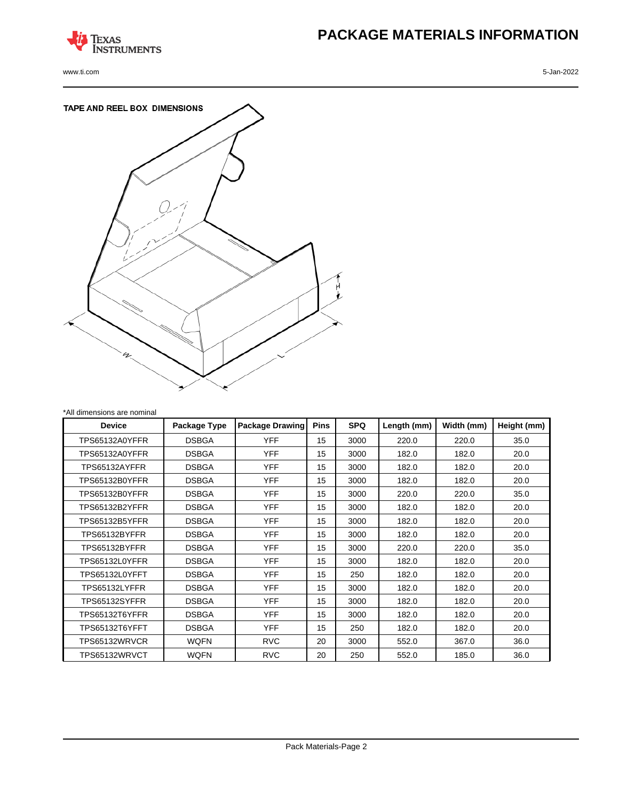

www.ti.com 5-Jan-2022

# **PACKAGE MATERIALS INFORMATION**



| *All dimensions are nominal |              |                        |                           |      |             |            |             |  |
|-----------------------------|--------------|------------------------|---------------------------|------|-------------|------------|-------------|--|
| <b>Device</b>               | Package Type | <b>Package Drawing</b> | <b>Pins</b><br><b>SPQ</b> |      | Length (mm) | Width (mm) | Height (mm) |  |
| TPS65132A0YFFR              | <b>DSBGA</b> | <b>YFF</b>             | 15                        | 3000 | 220.0       | 220.0      | 35.0        |  |
| <b>TPS65132A0YFFR</b>       | <b>DSBGA</b> | <b>YFF</b>             | 15                        | 3000 | 182.0       | 182.0      | 20.0        |  |
| TPS65132AYFFR               | <b>DSBGA</b> | <b>YFF</b>             | 15                        | 3000 | 182.0       | 182.0      | 20.0        |  |
| <b>TPS65132B0YFFR</b>       | <b>DSBGA</b> | <b>YFF</b>             | 15                        | 3000 | 182.0       | 182.0      | 20.0        |  |
| <b>TPS65132B0YFFR</b>       | <b>DSBGA</b> | <b>YFF</b>             | 15                        | 3000 | 220.0       | 220.0      | 35.0        |  |
| <b>TPS65132B2YFFR</b>       | <b>DSBGA</b> | <b>YFF</b>             | 15                        | 3000 | 182.0       | 182.0      | 20.0        |  |
| TPS65132B5YFFR              | <b>DSBGA</b> | <b>YFF</b>             | 15                        | 3000 | 182.0       | 182.0      | 20.0        |  |
| TPS65132BYFFR               | <b>DSBGA</b> | <b>YFF</b>             | 15                        | 3000 | 182.0       | 182.0      | 20.0        |  |
| TPS65132BYFFR               | <b>DSBGA</b> | <b>YFF</b>             | 15                        | 3000 | 220.0       | 220.0      | 35.0        |  |
| TPS65132L0YFFR              | <b>DSBGA</b> | <b>YFF</b>             | 15                        | 3000 | 182.0       | 182.0      | 20.0        |  |
| TPS65132L0YFFT              | <b>DSBGA</b> | <b>YFF</b>             | 15                        | 250  | 182.0       | 182.0      | 20.0        |  |
| TPS65132LYFFR               | <b>DSBGA</b> | <b>YFF</b>             | 15                        | 3000 | 182.0       | 182.0      | 20.0        |  |
| TPS65132SYFFR               | <b>DSBGA</b> | <b>YFF</b>             | 15                        | 3000 | 182.0       | 182.0      | 20.0        |  |
| <b>TPS65132T6YFFR</b>       | <b>DSBGA</b> | <b>YFF</b>             | 15                        | 3000 | 182.0       | 182.0      | 20.0        |  |
| TPS65132T6YFFT              | <b>DSBGA</b> | <b>YFF</b>             | 15                        | 250  | 182.0       | 182.0      | 20.0        |  |
| TPS65132WRVCR               | <b>WQFN</b>  | <b>RVC</b>             | 20                        | 3000 | 552.0       | 367.0      | 36.0        |  |
| TPS65132WRVCT               | <b>WQFN</b>  | <b>RVC</b>             | 20                        | 250  | 552.0       | 185.0      | 36.0        |  |